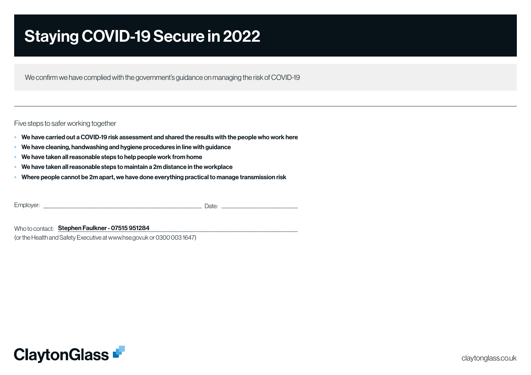# Staying COVID-19 Secure in 2022

We confirm we have complied with the government's guidance on managing the risk of COVID-19

Five steps to safer working together

- We have carried out a COVID-19 risk assessment and shared the results with the people who work here
- We have cleaning, handwashing and hygiene procedures in line with guidance
- We have taken all reasonable steps to help people work from home
- We have taken all reasonable steps to maintain a 2m distance in the workplace
- Where people cannot be 2m apart, we have done everything practical to manage transmission risk

Employer: \_\_\_\_\_\_\_\_\_\_\_\_\_\_\_\_\_\_\_\_\_\_\_\_\_\_\_\_\_\_\_\_\_\_\_\_\_\_\_\_\_\_\_\_\_\_\_\_\_\_\_\_\_\_\_\_\_\_\_\_\_\_\_\_\_\_\_\_\_\_\_\_\_\_\_\_\_\_\_\_\_\_\_\_\_\_\_\_\_\_\_\_\_\_\_\_\_\_\_\_\_\_\_\_\_ Date:

Who to contact: \_\_\_\_\_\_\_\_\_\_\_\_\_\_\_\_\_\_\_\_\_\_\_\_\_\_\_\_\_\_\_\_\_\_\_\_\_\_\_\_\_\_\_\_\_\_\_\_\_\_\_\_\_\_\_\_\_\_\_\_\_\_\_\_\_\_\_\_\_\_\_\_\_\_\_\_\_\_\_\_\_\_\_\_\_\_\_\_\_\_\_\_\_\_\_\_\_\_\_ Stephen Faulkner - 07515 951284

(or the Health and Safety Executive at www.hse.gov.uk or 0300 003 1647)

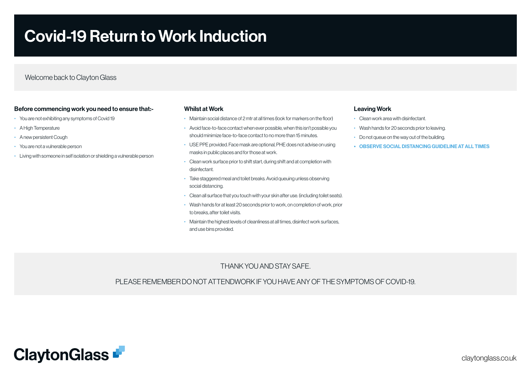# Covid-19 Return to Work Induction

Welcome back to Clayton Glass

#### Before commencing work you need to ensure that:-

- You are not exhibiting any symptoms of Covid 19
- A High Temperature
- A new persistent Cough
- You are not a vulnerable person
- Living with someone in self isolation or shielding a vulnerable person

#### Whilst at Work

- Maintain social distance of 2 mtr at all times (look for markers on the floor)
- Avoid face-to-face contact when ever possible, when this isn't possible you should minimize face-to-face contact to no more than 15 minutes.
- USE PPE provided. Face mask are optional, PHE does not advise on using masks in public places and for those at work.
- Clean work surface prior to shift start, during shift and at completion with disinfectant.
- Take staggered meal and toilet breaks. Avoid queuing unless observing social distancing.
- Clean all surface that you touch with your skin after use. (including toilet seats).
- Wash hands for at least 20 seconds prior to work, on completion of work, prior to breaks, after toilet visits.
- Maintain the highest levels of cleanliness at all times, disinfect work surfaces, and use bins provided.

#### Leaving Work

- Clean work area with disinfectant.
- Wash hands for 20 seconds prior to leaving.
- Do not queue on the way out of the building.
- OBSERVE SOCIAL DISTANCING GUIDELINE AT ALL TIMES

# THANK YOU AND STAY SAFE.

PLEASE REMEMBER DO NOT ATTENDWORK IF YOU HAVE ANY OF THE SYMPTOMS OF COVID-19.

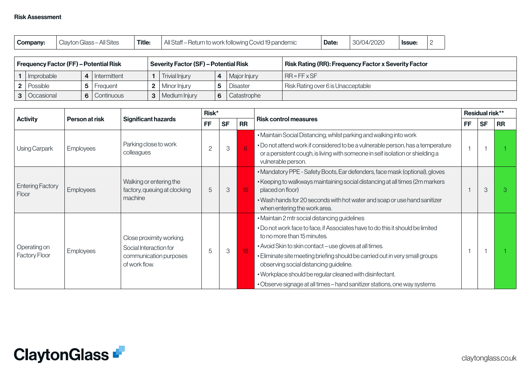| Company: | Title:<br>$\cdots$<br>Clavton (<br>ı Glass – All Sites | All Staff-<br>– Return to work following Covid 19 pandemic | Date: | 30/04/2020 | Issue: |  |
|----------|--------------------------------------------------------|------------------------------------------------------------|-------|------------|--------|--|
|----------|--------------------------------------------------------|------------------------------------------------------------|-------|------------|--------|--|

| <b>Frequency Factor (FF) – Potential Risk</b> |                | <b>Severity Factor (SF) - Potential Risk</b> |   |              | <b>Risk Rating (RR): Frequency Factor x Severity Factor</b> |
|-----------------------------------------------|----------------|----------------------------------------------|---|--------------|-------------------------------------------------------------|
| Improbable                                    | 4 Intermittent | Trivial Injury                               | 4 | Major Injury | $IR = FF \times SF$                                         |
| <b>2</b>   Possible                           | Freauent       | <b>2</b>   Minor Injury                      |   | Disaster     | Risk Rating over 6 is Unacceptable                          |
| <b>3</b>   Occasional                         | 6 Continuous   | 3   Medium Injury                            | 6 | Catastrophe  |                                                             |

|                                  |                  |                                                                                               | Risk*          |           |           |                                                                                                                                                                                                                                                                                                                                                                                                                                                                                              |           | Residual risk** |           |  |
|----------------------------------|------------------|-----------------------------------------------------------------------------------------------|----------------|-----------|-----------|----------------------------------------------------------------------------------------------------------------------------------------------------------------------------------------------------------------------------------------------------------------------------------------------------------------------------------------------------------------------------------------------------------------------------------------------------------------------------------------------|-----------|-----------------|-----------|--|
| <b>Activity</b>                  | Person at risk   | <b>Significant hazards</b>                                                                    | <b>FF</b>      | <b>SF</b> | <b>RR</b> | <b>Risk control measures</b>                                                                                                                                                                                                                                                                                                                                                                                                                                                                 | <b>FF</b> | <b>SF</b>       | <b>RR</b> |  |
| Using Carpark                    | <b>Employees</b> | Parking close to work<br>colleagues                                                           | $\overline{c}$ | 3         | 6         | . Maintain Social Distancing, whilst parking and walking into work<br>. Do not attend work if considered to be a vulnerable person, has a temperature<br>or a persistent cough, is living with someone in self isolation or shielding a<br>vulnerable person.                                                                                                                                                                                                                                |           |                 |           |  |
| <b>Entering Factory</b><br>Floor | Employees        | Walking or entering the<br>factory, queuing at clocking<br>machine                            | 5              | 3         | 15        | • Mandatory PPE - Safety Boots, Ear defenders, face mask (optional), gloves<br>• Keeping to walkways maintaining social distancing at all times (2m markers<br>placed on floor)<br>. Wash hands for 20 seconds with hot water and soap or use hand sanitizer<br>when entering the work area.                                                                                                                                                                                                 |           | 3               | 3         |  |
| Operating on<br>Factory Floor    | <b>Employees</b> | Close proximity working.<br>Social Interaction for<br>communication purposes<br>of work flow. | 5              | 3         | 18        | • Maintain 2 mtr social distancing guidelines<br>. Do not work face to face, if Associates have to do this it should be limited<br>to no more than 15 minutes.<br>• Avoid Skin to skin contact - use gloves at all times.<br>. Eliminate site meeting briefing should be carried out in very small groups<br>observing social distancing guideline.<br>. Workplace should be regular cleaned with disinfectant.<br>• Observe signage at all times – hand sanitizer stations, one way systems |           |                 |           |  |

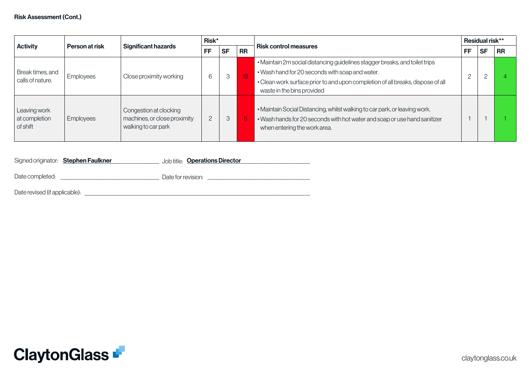| <b>Activity</b><br>Person at risk         |           |                                                                               | Risk*                        |   |                 |                                                                                                                                                                                                                                                 |  | Residual risk** |           |  |
|-------------------------------------------|-----------|-------------------------------------------------------------------------------|------------------------------|---|-----------------|-------------------------------------------------------------------------------------------------------------------------------------------------------------------------------------------------------------------------------------------------|--|-----------------|-----------|--|
|                                           |           | <b>Significant hazards</b>                                                    | <b>RR</b><br><b>SF</b><br>FF |   |                 | <b>Risk control measures</b>                                                                                                                                                                                                                    |  | <b>SF</b>       | <b>RR</b> |  |
| Break times, and<br>calls of nature.      | Employees | Close proximity working                                                       | 6                            | 3 | $\overline{18}$ | . Maintain 2m social distancing guidelines stagger breaks, and toilet trips<br>. Wash hand for 20 seconds with soap and water.<br>• Clean work surface prior to and upon completion of all breaks, dispose of all<br>waste in the bins provided |  |                 |           |  |
| Leaving work<br>at completion<br>of shift | Employees | Congestion at clocking<br>machines, or close proximity<br>walking to car park | $\overline{2}$               | 3 | 6               | . Maintain Social Distancing, whilst walking to car park, or leaving work.<br>. Wash hands for 20 seconds with hot water and soap or use hand sanitizer<br>when entering the work area.                                                         |  |                 |           |  |

|                               | Signed originator: <b>Stephen Faulkner</b> | Job title: <b>Operations Director</b> |
|-------------------------------|--------------------------------------------|---------------------------------------|
|                               |                                            |                                       |
| Date completed:               |                                            | Date for revision:                    |
| Date revised (if applicable): |                                            |                                       |

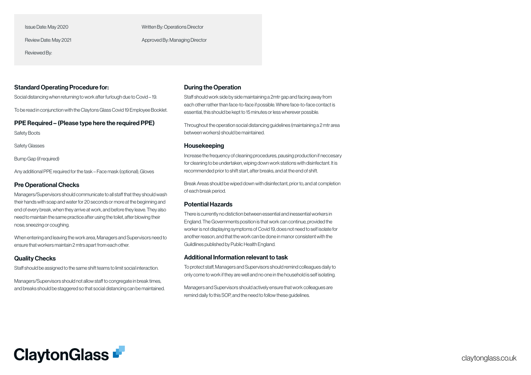Issue Date: May 2020

Review Date: May 2021

Reviewed By:

Written By: Operations Director

Approved By: Managing Director

## Standard Operating Procedure for:

Social distancing when returning to work after furlough due to Covid – 19.

To be read in conjunction with the Claytons Glass Covid 19 Employee Booklet.

PPE Required – (Please type here the required PPE)

Safety Boots

Safety Glasses

Bump Gap (if required)

Any additional PPE required for the task – Face mask (optional), Gloves

## Pre Operational Checks

Managers/Supervisors should communicate to all staff that they should wash their hands with soap and water for 20 seconds or more at the beginning and end of every break, when they arrive at work, and before they leave. They also need to maintain the same practice after using the toilet, after blowing their nose, sneezing or coughing.

When entering and leaving the work area, Managers and Supervisors need to ensure that workers maintain 2 mtrs apart from each other.

## Quality Checks

Staff should be assigned to the same shift teams to limit social interaction.

Managers/Supervisors should not allow staff to congregate in break times, and breaks should be staggered so that social distancing can be maintained.

#### During the Operation

Staff should work side by side maintaining a 2mtr gap and facing away from each other rather than face-to-face if possible. Where face-to-face contact is essential, this should be kept to 15 minutes or less wherever possible.

Throughout the operation social distancing guidelines (maintaining a 2 mtr area between workers) should be maintained.

### Housekeeping

Increase the frequency of cleaning procedures, pausing production if neccesary for cleaning to be undertaken, wiping down work stations with disinfectant. It is recommended prior to shift start, after breaks, and at the end of shift.

Break Areas should be wiped down with disinfectant, prior to, and at completion of each break period.

## Potential Hazards

There is currently no distiction between essential and inessential workers in England. The Governments position is that work can continue, provided the worker is not displaying symptoms of Covid 19, does not need to self isolate for another reason, and that the work can be done in manor consistent with the Guildlines published by Public Health England.

#### Additional Information relevant to task

To protect staff, Managers and Supervisors should remind colleagues daily to only come to work if they are well and no one in the household is self isolating.

Managers and Supervisors should actively ensure that work colleagues are remind daily fo this SOP, and the need to follow these guidelines.

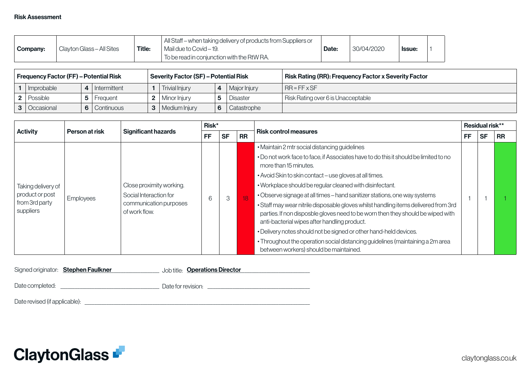| Company: | Clayton Glass - All Sites | <b>Title:</b> | All Staff – when taking delivery of products from Suppliers or<br>Mail due to Covid – 19.<br>To be read in conjunction with the RtW RA. | Date: | 30/04/2020 | <b>Issue:</b> |  |  |
|----------|---------------------------|---------------|-----------------------------------------------------------------------------------------------------------------------------------------|-------|------------|---------------|--|--|
|----------|---------------------------|---------------|-----------------------------------------------------------------------------------------------------------------------------------------|-------|------------|---------------|--|--|

| Frequency Factor (FF) – Potential Risk |                | <b>Severity Factor (SF) - Potential Risk</b> |   |              | Risk Rating (RR): Frequency Factor x Severity Factor [ |
|----------------------------------------|----------------|----------------------------------------------|---|--------------|--------------------------------------------------------|
| 1   Improbable                         | l Intermittent | <b>Trivial Injury</b>                        | 4 | Major Injury | $RR = FF \times SF$                                    |
| <b>2</b>   Possible                    | Frequent       | <b>2</b>   Minor Injury                      |   | Disaster     | Risk Rating over 6 is Unacceptable                     |
| <b>3</b>   Occasional                  | 6 Continuous   | <b>3</b>   Medium Injury                     | 6 | Catastrophe  |                                                        |

|                                                |                |                                                                   | Risk* |           |           |                                                                                                                                                                                                                                                                                                                                                                                                                                                                                                      |    | Residual risk** |           |
|------------------------------------------------|----------------|-------------------------------------------------------------------|-------|-----------|-----------|------------------------------------------------------------------------------------------------------------------------------------------------------------------------------------------------------------------------------------------------------------------------------------------------------------------------------------------------------------------------------------------------------------------------------------------------------------------------------------------------------|----|-----------------|-----------|
| <b>Activity</b>                                | Person at risk | <b>Significant hazards</b>                                        | FF    | <b>SF</b> | <b>RR</b> | <b>Risk control measures</b>                                                                                                                                                                                                                                                                                                                                                                                                                                                                         |    | <b>SF</b>       | <b>RR</b> |
| Taking delivery of                             |                | Close proximity working.                                          |       |           |           | • Maintain 2 mtr social distancing guidelines<br>. Do not work face to face, if Associates have to do this it should be limited to no<br>more than 15 minutes.<br>• Avoid Skin to skin contact – use gloves at all times.<br>. Workplace should be regular cleaned with disinfectant.                                                                                                                                                                                                                | FF |                 |           |
| product or post<br>from 3rd party<br>suppliers | Employees      | Social Interaction for<br>communication purposes<br>of work flow. | 6     | 3         | 18        | • Observe signage at all times – hand sanitizer stations, one way systems<br>• Staff may wear nitrile disposable gloves whilst handling items delivered from 3rd<br>parties. If non disposble gloves need to be worn then they should be wiped with<br>anti-bacterial wipes after handling product.<br>. Delivery notes should not be signed or other hand-held devices.<br>• Throughout the operation social distancing guidelines (maintaining a 2m area<br>between workers) should be maintained. |    |                 |           |

|                               | Signed originator: Stephen Faulkner | Job title: <b>Operations Director</b> |
|-------------------------------|-------------------------------------|---------------------------------------|
| Date completed:               |                                     | Date for revision:                    |
| Date revised (if applicable): |                                     |                                       |

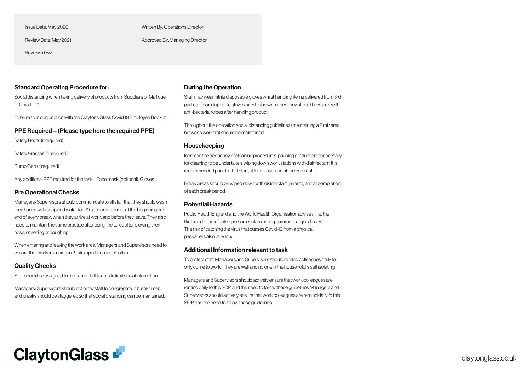Issue Date: May 2020

Review Date: May 2021

Reviewed By:

Written By: Operations Director

Approved By: Managing Director

## Standard Operating Procedure for:

Social distancing when taking delivery of products from Suppliers or Mail due to Covid – 19.

To be read in conjunction with the Claytons Glass Covid 19 Employee Booklet.

## PPE Required – (Please type here the required PPE)

Safety Boots (if required)

Safety Glasses (if required)

Bump Gap (if required)

Any additional PPE required for the task – Face mask (optional), Gloves

#### Pre Operational Checks

Managers/Supervisors should communicate to all staff that they should wash their hands with soap and water for 20 seconds or more at the beginning and end of every break, when they arrive at work, and before they leave. They also need to maintain the same practice after using the toilet, after blowing their nose, sneezing or coughing.

When entering and leaving the work area, Managers and Supervisors need to ensure that workers maintain 2 mtrs apart from each other.

## Quality Checks

Staff should be assigned to the same shift teams to limit social interaction.

Managers/Supervisors should not allow staff to congregate in break times, and breaks should be staggered so that social distancing can be maintained.

#### During the Operation

Staff may wear nitrile disposable gloves whilst handling items delivered from 3rd parties. If non disposble gloves need to be worn then they should be wiped with anti-bacterial wipes after handling product.

Throughout the operation social distancing guidelines (maintaining a 2 mtr area between workers) should be maintained.

#### Housekeeping

Increase the frequency of cleaning procedures, pausing production if neccesary for cleaning to be undertaken, wiping down work stations with disinfectant. It is recommended prior to shift start, after breaks, and at the end of shift.

Break Areas should be wiped down with disinfectant, prior to, and at completion of each break period.

#### Potential Hazards

Public Health England and the World Health Organisation advises that the likelihood of an infected person contaminating commercial good is low. The risk of catching the virus that cuases Covid-19 from a physical package is also very low.

#### Additional Information relevant to task

To protect staff, Managers and Supervisors should remind colleagues daily to only come to work if they are well and no one in the household is self isolating.

Managers and Supervisors should actively ensure that work colleagues are remind daily fo this SOP, and the need to follow these guidelines.Managers and Supervisors should actively ensure that work colleagues are remind daily fo this SOP, and the need to follow these guidelines.

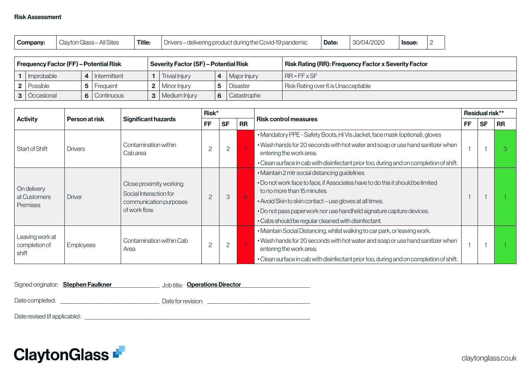|  | Company: | Clayton Glass - All Sites | Title: | Drivers – delivering product during the Covid-19 pandemic | Date: | 30/04/2020 | <b>Issue:</b> |  |
|--|----------|---------------------------|--------|-----------------------------------------------------------|-------|------------|---------------|--|
|--|----------|---------------------------|--------|-----------------------------------------------------------|-------|------------|---------------|--|

| <b>Frequency Factor (FF) - Potential Risk</b> |                | <b>Severity Factor (SF) - Potential Risk</b> |   |                 | Risk Rating (RR): Frequency Factor x Severity Factor " |
|-----------------------------------------------|----------------|----------------------------------------------|---|-----------------|--------------------------------------------------------|
| $1$   Improbable                              | 4 Intermittent | <b>Trivial Injury</b>                        | 4 | Major Injury    | $IR = FF \times SF$                                    |
| 2   Possible                                  | Frequent       | <b>2</b>   Minor Injury                      |   | <b>Disaster</b> | Risk Rating over 6 is Unacceptable                     |
| <b>3</b>   Occasional                         | 6 Continuous   | <b>3</b>   Medium Injury                     | 6 | Catastrophe     |                                                        |

| <b>Activity</b><br>Person at risk         |                                                                                                                        |                                                    | Risk*                                                                          |                        |                                                                                        |                                                                                                               | Residual risk** |           |           |
|-------------------------------------------|------------------------------------------------------------------------------------------------------------------------|----------------------------------------------------|--------------------------------------------------------------------------------|------------------------|----------------------------------------------------------------------------------------|---------------------------------------------------------------------------------------------------------------|-----------------|-----------|-----------|
|                                           |                                                                                                                        | <b>Significant hazards</b>                         | <b>FF</b>                                                                      | <b>RR</b><br><b>SF</b> |                                                                                        | <b>Risk control measures</b>                                                                                  | FF              | <b>SF</b> | <b>RR</b> |
|                                           |                                                                                                                        |                                                    |                                                                                |                        |                                                                                        | • Mandatory PPE - Safety Boots, Hi Vis Jacket, face mask (optional), gloves                                   |                 |           |           |
| Start of Shift                            | <b>Drivers</b>                                                                                                         | Contamination within<br>Cabarea                    | $\overline{2}$                                                                 |                        | $\overline{4}$                                                                         | . Wash hands for 20 seconds with hot water and soap or use hand sanitizer when<br>entering the work area.     |                 |           | З         |
|                                           |                                                                                                                        |                                                    |                                                                                |                        | . Clean surface in cab with disinfectant prior too, during and on completion of shift. |                                                                                                               |                 |           |           |
|                                           |                                                                                                                        |                                                    |                                                                                |                        |                                                                                        | . Maintain 2 mtr social distancing guidelines                                                                 |                 |           |           |
| On delivery                               |                                                                                                                        | Close proximity working.<br>Social Interaction for |                                                                                |                        |                                                                                        | . Do not work face to face, if Associates have to do this it should be limited<br>to no more than 15 minutes. |                 |           |           |
| at Customers<br>Premises                  | <b>Driver</b>                                                                                                          | communication purposes                             | $\overline{2}$                                                                 | 3                      | 6                                                                                      | • Avoid Skin to skin contact - use gloves at all times.                                                       |                 |           |           |
|                                           |                                                                                                                        | of work flow.                                      |                                                                                |                        |                                                                                        | . Do not pass paperwork nor use handheld signature capture devices.                                           |                 |           |           |
|                                           |                                                                                                                        |                                                    |                                                                                |                        |                                                                                        | • Cabs should be regular cleaned with disinfectant.                                                           |                 |           |           |
|                                           |                                                                                                                        |                                                    |                                                                                |                        |                                                                                        | . Maintain Social Distancing, whilst walking to car park, or leaving work.                                    |                 |           |           |
| Leaving work at<br>completion of<br>shift | Contamination within Cab<br>$\mathbf{2}$<br>2<br>$\overline{4}$<br><b>Employees</b><br>entering the work area.<br>Area |                                                    | . Wash hands for 20 seconds with hot water and soap or use hand sanitizer when |                        |                                                                                        |                                                                                                               |                 |           |           |
|                                           |                                                                                                                        |                                                    |                                                                                |                        |                                                                                        | . Clean surface in cab with disinfectant prior too, during and on completion of shift.                        |                 |           |           |

|                               | Signed originator: <b>Stephen Faulkner</b> | Job title: Operations Director |
|-------------------------------|--------------------------------------------|--------------------------------|
|                               |                                            |                                |
| Date completed:               |                                            | Date for revision:             |
| Date revised (if applicable): |                                            |                                |